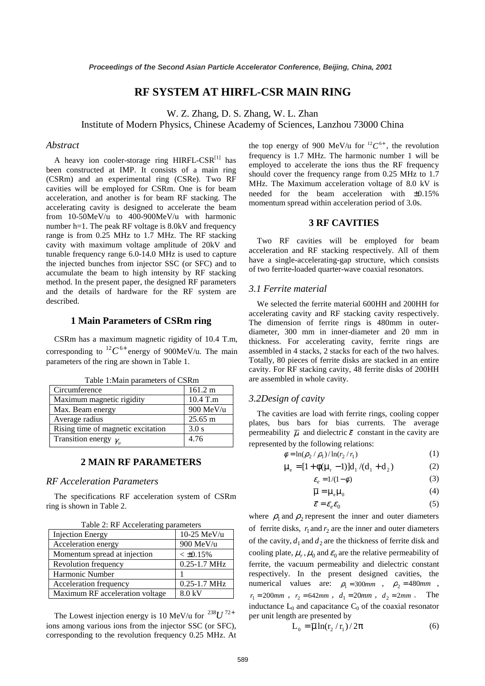# **RF SYSTEM AT HIRFL-CSR MAIN RING**

W. Z. Zhang, D. S. Zhang, W. L. Zhan

Institute of Modern Physics, Chinese Academy of Sciences, Lanzhou 73000 China

#### *Abstract*

A heavy ion cooler-storage ring HIRFL-CSR[1] has been constructed at IMP. It consists of a main ring (CSRm) and an experimental ring (CSRe). Two RF cavities will be employed for CSRm. One is for beam acceleration, and another is for beam RF stacking. The accelerating cavity is designed to accelerate the beam from 10-50MeV/u to 400-900MeV/u with harmonic number h=1. The peak RF voltage is 8.0kV and frequency range is from 0.25 MHz to 1.7 MHz. The RF stacking cavity with maximum voltage amplitude of 20kV and tunable frequency range 6.0-14.0 MHz is used to capture the injected bunches from injector SSC (or SFC) and to accumulate the beam to high intensity by RF stacking method. In the present paper, the designed RF parameters and the details of hardware for the RF system are described.

### **1 Main Parameters of CSRm ring**

CSRm has a maximum magnetic rigidity of 10.4 T.m, corresponding to  ${}^{12}C^{6+}$  energy of 900MeV/u. The main parameters of the ring are shown in Table 1.

| raone randim parameters or estam   |                   |  |
|------------------------------------|-------------------|--|
| Circumference                      | 161.2 m           |  |
| Maximum magnetic rigidity          | 10.4 T.m          |  |
| Max. Beam energy                   | 900 MeV/u         |  |
| Average radius                     | $25.65 \text{ m}$ |  |
| Rising time of magnetic excitation | 3.0 s             |  |
| Transition energy $\gamma_r$       | 4.76              |  |

Table 1:Main parameters of CSRm

## **2 MAIN RF PARAMETERS**

### *RF Acceleration Parameters*

The specifications RF acceleration system of CSRm ring is shown in Table 2.

| rable 2. Kr Accelerating parameters |                  |  |
|-------------------------------------|------------------|--|
| <b>Injection Energy</b>             | $10-25$ MeV/u    |  |
| Acceleration energy                 | 900 MeV/u        |  |
| Momentum spread at injection        | $< \pm 0.15\%$   |  |
| Revolution frequency                | $0.25 - 1.7$ MHz |  |
| Harmonic Number                     |                  |  |
| Acceleration frequency              | 0.25-1.7 MHz     |  |
| Maximum RF acceleration voltage     | 8.0 kV           |  |

Table 2: RF Accelerating parameters

The Lowest injection energy is 10 MeV/u for  $^{238}U^{72+}$ ions among various ions from the injector SSC (or SFC), corresponding to the revolution frequency 0.25 MHz. At the top energy of 900 MeV/u for  ${}^{12}C^{6+}$ , the revolution frequency is 1.7 MHz. The harmonic number 1 will be employed to accelerate the ions thus the RF frequency should cover the frequency range from 0.25 MHz to 1.7 MHz. The Maximum acceleration voltage of 8.0 kV is needed for the beam acceleration with ±0.15% momentum spread within acceleration period of 3.0s.

## **3 RF CAVITIES**

Two RF cavities will be employed for beam acceleration and RF stacking respectively. All of them have a single-accelerating-gap structure, which consists of two ferrite-loaded quarter-wave coaxial resonators.

## *3.1 Ferrite material*

We selected the ferrite material 600HH and 200HH for accelerating cavity and RF stacking cavity respectively. The dimension of ferrite rings is 480mm in outerdiameter, 300 mm in inner-diameter and 20 mm in thickness. For accelerating cavity, ferrite rings are assembled in 4 stacks, 2 stacks for each of the two halves. Totally, 80 pieces of ferrite disks are stacked in an entire cavity. For RF stacking cavity, 48 ferrite disks of 200HH are assembled in whole cavity.

## *3.2Design of cavity*

The cavities are load with ferrite rings, cooling copper plates, bus bars for bias currents. The average permeability  $\bar{\mu}$  and dielectric  $\bar{\varepsilon}$  constant in the cavity are represented by the following relations:

$$
\phi = \ln(\rho_2 / \rho_1) / \ln(r_2 / r_1)
$$
\n(1)

$$
\mu_e = [1 + \phi(\mu_r - 1)]d_1/(d_1 + d_2)
$$
 (2)

$$
\varepsilon_e = 1/(1 - \phi) \tag{3}
$$

$$
\overline{\mu} = \mu_{e} \mu_{0} \tag{4}
$$

$$
\overline{\mathcal{E}} = \mathcal{E}_e \mathcal{E}_0 \tag{5}
$$

where  $\rho_1$  and  $\rho_2$  represent the inner and outer diameters of ferrite disks,  $r_1$  and  $r_2$  are the inner and outer diameters of the cavity,  $d_1$  and  $d_2$  are the thickness of ferrite disk and cooling plate,  $\mu_r$ ,  $\mu_0$  and  $\varepsilon_0$  are the relative permeability of ferrite, the vacuum permeability and dielectric constant respectively. In the present designed cavities, the numerical values are:  $\rho_1 = 300$ *mm*,  $\rho_2 = 480$ *mm*,  $r_1 = 200mm$ ,  $r_2 = 642mm$ ,  $d_1 = 20mm$ ,  $d_2 = 2mm$ . The inductance  $L_0$  and capacitance  $C_0$  of the coaxial resonator per unit length are presented by

$$
L_0 = \overline{\mu} \ln(r_2 / r_1) / 2\pi
$$
 (6)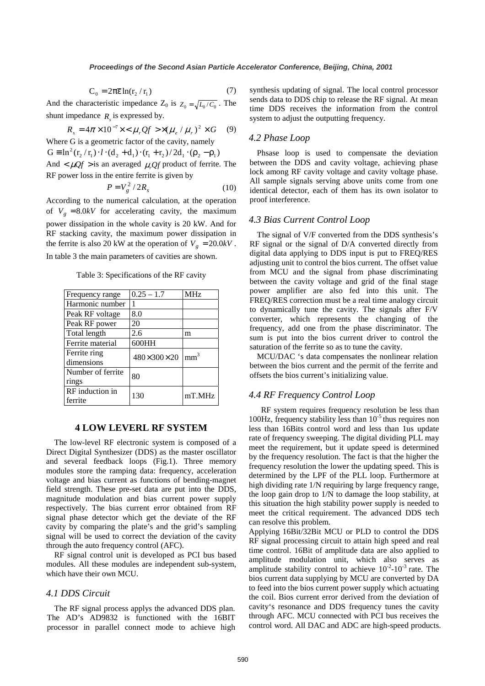$$
C_0 = 2\pi \overline{\varepsilon} \ln(r_2 / r_1)
$$
 (7)

And the characteristic impedance  $Z_0$  is  $Z_0 = \sqrt{L_0/C_0}$ . The shunt impedance  $R_{\rm s}$  is expressed by.

$$
R_s = 4\pi \times 10^{-7} \times <\mu_r Qf > \times (\mu_e / \mu_r)^2 \times G \quad (9)
$$

Where G is a geometric factor of the cavity, namely  $G \equiv \ln^2(r_2 / r_1) \cdot l \cdot (d_2 + d_1) \cdot (r_1 + r_2) / 2d_1 \cdot (p_2 - p_1)$ And  $\lt \mu$ Of > is an averaged  $\mu$  Of product of ferrite. The RF power loss in the entire ferrite is given by

$$
P = V_g^2 / 2R_s \tag{10}
$$

According to the numerical calculation, at the operation of  $V_g = 8.0$ kV for accelerating cavity, the maximum power dissipation in the whole cavity is 20 kW. And for RF stacking cavity, the maximum power dissipation in the ferrite is also 20 kW at the operation of  $V_g = 20.0kV$ .

In table 3 the main parameters of cavities are shown.

Table 3: Specifications of the RF cavity

| Frequency range            | $0.25 - 1.7$ | MHz             |
|----------------------------|--------------|-----------------|
| Harmonic number            |              |                 |
| Peak RF voltage            | 8.0          |                 |
| Peak RF power              | 20           |                 |
| Total length               | 2.6          | m               |
| Ferrite material           | 600HH        |                 |
| Ferrite ring<br>dimensions | 480×300×20   | mm <sup>3</sup> |
| Number of ferrite<br>rings | 80           |                 |
| RF induction in<br>ferrite | 130          | mT.MHz          |

#### **4 LOW LEVERL RF SYSTEM**

The low-level RF electronic system is composed of a Direct Digital Synthesizer (DDS) as the master oscillator and several feedback loops (Fig.1). Three memory modules store the ramping data: frequency, acceleration voltage and bias current as functions of bending-magnet field strength. These pre-set data are put into the DDS, magnitude modulation and bias current power supply respectively. The bias current error obtained from RF signal phase detector which get the deviate of the RF cavity by comparing the plate's and the grid's sampling signal will be used to correct the deviation of the cavity through the auto frequency control (AFC).

RF signal control unit is developed as PCI bus based modules. All these modules are independent sub-system, which have their own MCU.

#### *4.1 DDS Circuit*

The RF signal process applys the advanced DDS plan. The AD's AD9832 is functioned with the 16BIT processor in parallel connect mode to achieve high synthesis updating of signal. The local control processor sends data to DDS chip to release the RF signal. At mean time DDS receives the information from the control system to adjust the outputting frequency.

#### *4.2 Phase Loop*

Phsase loop is used to compensate the deviation between the DDS and cavity voltage, achieving phase lock among RF cavity voltage and cavity voltage phase. All sample signals serving above units come from one identical detector, each of them has its own isolator to proof interference.

## *4.3 Bias Current Control Loop*

The signal of V/F converted from the DDS synthesis's RF signal or the signal of D/A converted directly from digital data applying to DDS input is put to FREQ/RES adjusting unit to control the bios current. The offset value from MCU and the signal from phase discriminating between the cavity voltage and grid of the final stage power amplifier are also fed into this unit. The FREQ/RES correction must be a real time analogy circuit to dynamically tune the cavity. The signals after F/V converter, which represents the changing of the frequency, add one from the phase discriminator. The sum is put into the bios current driver to control the saturation of the ferrite so as to tune the cavity.

MCU/DAC 's data compensates the nonlinear relation between the bios current and the permit of the ferrite and offsets the bios current's initializing value.

## *4.4 RF Frequency Control Loop*

RF system requires frequency resolution be less than 100Hz, frequency stability less than  $10^{-5}$  thus requires non less than 16Bits control word and less than 1us update rate of frequency sweeping. The digital dividing PLL may meet the requirement, but it update speed is determined by the frequency resolution. The fact is that the higher the frequency resolution the lower the updating speed. This is determined by the LPF of the PLL loop. Furthermore at high dividing rate 1/N requiring by large frequency range, the loop gain drop to 1/N to damage the loop stability, at this situation the high stability power supply is needed to meet the critical requirement. The advanced DDS tech can resolve this problem.

Applying 16Bit/32Bit MCU or PLD to control the DDS RF signal processing circuit to attain high speed and real time control. 16Bit of amplitude data are also applied to amplitude modulation unit, which also serves as amplitude stability control to achieve  $10^{-2}$ - $10^{-3}$  rate. The bios current data supplying by MCU are converted by DA to feed into the bios current power supply which actuating the coil. Bios current error derived from the deviation of cavity's resonance and DDS frequency tunes the cavity through AFC. MCU connected with PCI bus receives the control word. All DAC and ADC are high-speed products.